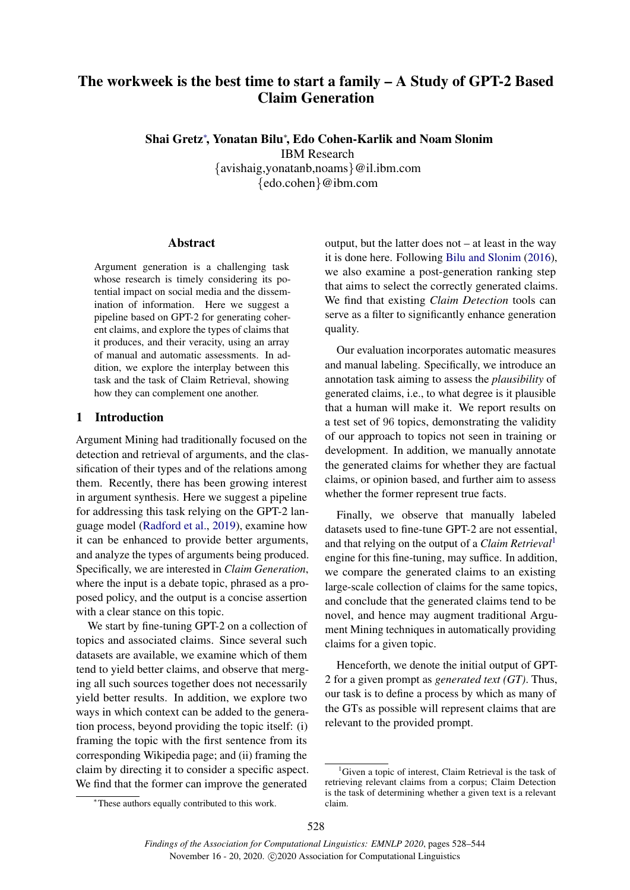# The workweek is the best time to start a family – A Study of GPT-2 Based Claim Generation

Shai Gretz<sup>∗</sup> , Yonatan Bilu<sup>∗</sup> , Edo Cohen-Karlik and Noam Slonim IBM Research {avishaig,yonatanb,noams}@il.ibm.com {edo.cohen}@ibm.com

### Abstract

Argument generation is a challenging task whose research is timely considering its potential impact on social media and the dissemination of information. Here we suggest a pipeline based on GPT-2 for generating coherent claims, and explore the types of claims that it produces, and their veracity, using an array of manual and automatic assessments. In addition, we explore the interplay between this task and the task of Claim Retrieval, showing how they can complement one another.

# 1 Introduction

Argument Mining had traditionally focused on the detection and retrieval of arguments, and the classification of their types and of the relations among them. Recently, there has been growing interest in argument synthesis. Here we suggest a pipeline for addressing this task relying on the GPT-2 language model [\(Radford et al.,](#page-10-0) [2019\)](#page-10-0), examine how it can be enhanced to provide better arguments, and analyze the types of arguments being produced. Specifically, we are interested in *Claim Generation*, where the input is a debate topic, phrased as a proposed policy, and the output is a concise assertion with a clear stance on this topic.

We start by fine-tuning GPT-2 on a collection of topics and associated claims. Since several such datasets are available, we examine which of them tend to yield better claims, and observe that merging all such sources together does not necessarily yield better results. In addition, we explore two ways in which context can be added to the generation process, beyond providing the topic itself: (i) framing the topic with the first sentence from its corresponding Wikipedia page; and (ii) framing the claim by directing it to consider a specific aspect. We find that the former can improve the generated

output, but the latter does not – at least in the way it is done here. Following [Bilu and Slonim](#page-9-0) [\(2016\)](#page-9-0), we also examine a post-generation ranking step that aims to select the correctly generated claims. We find that existing *Claim Detection* tools can serve as a filter to significantly enhance generation quality.

Our evaluation incorporates automatic measures and manual labeling. Specifically, we introduce an annotation task aiming to assess the *plausibility* of generated claims, i.e., to what degree is it plausible that a human will make it. We report results on a test set of 96 topics, demonstrating the validity of our approach to topics not seen in training or development. In addition, we manually annotate the generated claims for whether they are factual claims, or opinion based, and further aim to assess whether the former represent true facts.

Finally, we observe that manually labeled datasets used to fine-tune GPT-2 are not essential, and that relying on the output of a *Claim Retrieval*[1](#page-0-0) engine for this fine-tuning, may suffice. In addition, we compare the generated claims to an existing large-scale collection of claims for the same topics, and conclude that the generated claims tend to be novel, and hence may augment traditional Argument Mining techniques in automatically providing claims for a given topic.

Henceforth, we denote the initial output of GPT-2 for a given prompt as *generated text (GT)*. Thus, our task is to define a process by which as many of the GTs as possible will represent claims that are relevant to the provided prompt.

<span id="page-0-0"></span> ${}^{1}$ Given a topic of interest, Claim Retrieval is the task of retrieving relevant claims from a corpus; Claim Detection is the task of determining whether a given text is a relevant claim.

<sup>∗</sup>These authors equally contributed to this work.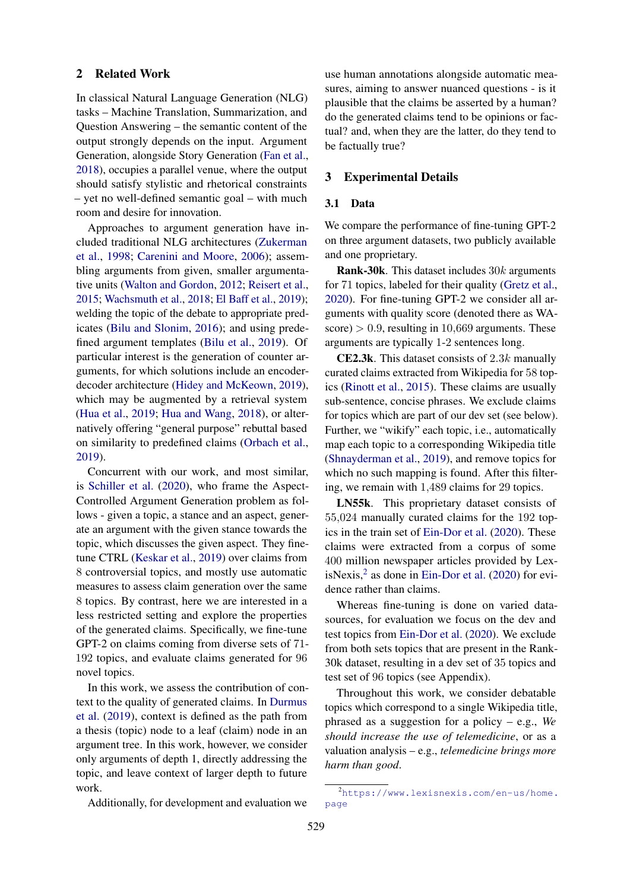### 2 Related Work

In classical Natural Language Generation (NLG) tasks – Machine Translation, Summarization, and Question Answering – the semantic content of the output strongly depends on the input. Argument Generation, alongside Story Generation [\(Fan et al.,](#page-9-1) [2018\)](#page-9-1), occupies a parallel venue, where the output should satisfy stylistic and rhetorical constraints – yet no well-defined semantic goal – with much room and desire for innovation.

Approaches to argument generation have included traditional NLG architectures [\(Zukerman](#page-10-1) [et al.,](#page-10-1) [1998;](#page-10-1) [Carenini and Moore,](#page-9-2) [2006\)](#page-9-2); assembling arguments from given, smaller argumentative units [\(Walton and Gordon,](#page-10-2) [2012;](#page-10-2) [Reisert et al.,](#page-10-3) [2015;](#page-10-3) [Wachsmuth et al.,](#page-10-4) [2018;](#page-10-4) [El Baff et al.,](#page-9-3) [2019\)](#page-9-3); welding the topic of the debate to appropriate predicates [\(Bilu and Slonim,](#page-9-0) [2016\)](#page-9-0); and using predefined argument templates [\(Bilu et al.,](#page-9-4) [2019\)](#page-9-4). Of particular interest is the generation of counter arguments, for which solutions include an encoderdecoder architecture [\(Hidey and McKeown,](#page-9-5) [2019\)](#page-9-5), which may be augmented by a retrieval system [\(Hua et al.,](#page-9-6) [2019;](#page-9-6) [Hua and Wang,](#page-9-7) [2018\)](#page-9-7), or alternatively offering "general purpose" rebuttal based on similarity to predefined claims [\(Orbach et al.,](#page-10-5) [2019\)](#page-10-5).

Concurrent with our work, and most similar, is [Schiller et al.](#page-10-6) [\(2020\)](#page-10-6), who frame the Aspect-Controlled Argument Generation problem as follows - given a topic, a stance and an aspect, generate an argument with the given stance towards the topic, which discusses the given aspect. They finetune CTRL [\(Keskar et al.,](#page-9-8) [2019\)](#page-9-8) over claims from 8 controversial topics, and mostly use automatic measures to assess claim generation over the same 8 topics. By contrast, here we are interested in a less restricted setting and explore the properties of the generated claims. Specifically, we fine-tune GPT-2 on claims coming from diverse sets of 71- 192 topics, and evaluate claims generated for 96 novel topics.

In this work, we assess the contribution of context to the quality of generated claims. In [Durmus](#page-9-9) [et al.](#page-9-9) [\(2019\)](#page-9-9), context is defined as the path from a thesis (topic) node to a leaf (claim) node in an argument tree. In this work, however, we consider only arguments of depth 1, directly addressing the topic, and leave context of larger depth to future work.

Additionally, for development and evaluation we

use human annotations alongside automatic measures, aiming to answer nuanced questions - is it plausible that the claims be asserted by a human? do the generated claims tend to be opinions or factual? and, when they are the latter, do they tend to be factually true?

#### <span id="page-1-2"></span>3 Experimental Details

#### <span id="page-1-1"></span>3.1 Data

We compare the performance of fine-tuning GPT-2 on three argument datasets, two publicly available and one proprietary.

**Rank-30k**. This dataset includes  $30k$  arguments for 71 topics, labeled for their quality [\(Gretz et al.,](#page-9-10) [2020\)](#page-9-10). For fine-tuning GPT-2 we consider all arguments with quality score (denoted there as WAscore)  $> 0.9$ , resulting in 10,669 arguments. These arguments are typically 1-2 sentences long.

**CE2.3k.** This dataset consists of 2.3 $k$  manually curated claims extracted from Wikipedia for 58 topics [\(Rinott et al.,](#page-10-7) [2015\)](#page-10-7). These claims are usually sub-sentence, concise phrases. We exclude claims for topics which are part of our dev set (see below). Further, we "wikify" each topic, i.e., automatically map each topic to a corresponding Wikipedia title [\(Shnayderman et al.,](#page-10-8) [2019\)](#page-10-8), and remove topics for which no such mapping is found. After this filtering, we remain with 1,489 claims for 29 topics.

LN55k. This proprietary dataset consists of 55,024 manually curated claims for the 192 topics in the train set of [Ein-Dor et al.](#page-9-11) [\(2020\)](#page-9-11). These claims were extracted from a corpus of some 400 million newspaper articles provided by LexisNexis, $<sup>2</sup>$  $<sup>2</sup>$  $<sup>2</sup>$  as done in [Ein-Dor et al.](#page-9-11) [\(2020\)](#page-9-11) for evi-</sup> dence rather than claims.

Whereas fine-tuning is done on varied datasources, for evaluation we focus on the dev and test topics from [Ein-Dor et al.](#page-9-11) [\(2020\)](#page-9-11). We exclude from both sets topics that are present in the Rank-30k dataset, resulting in a dev set of 35 topics and test set of 96 topics (see Appendix).

Throughout this work, we consider debatable topics which correspond to a single Wikipedia title, phrased as a suggestion for a policy – e.g., *We should increase the use of telemedicine*, or as a valuation analysis – e.g., *telemedicine brings more harm than good*.

<span id="page-1-0"></span><sup>2</sup>[https://www.lexisnexis.com/en-us/home.](https://www.lexisnexis.com/en-us/home.page) [page](https://www.lexisnexis.com/en-us/home.page)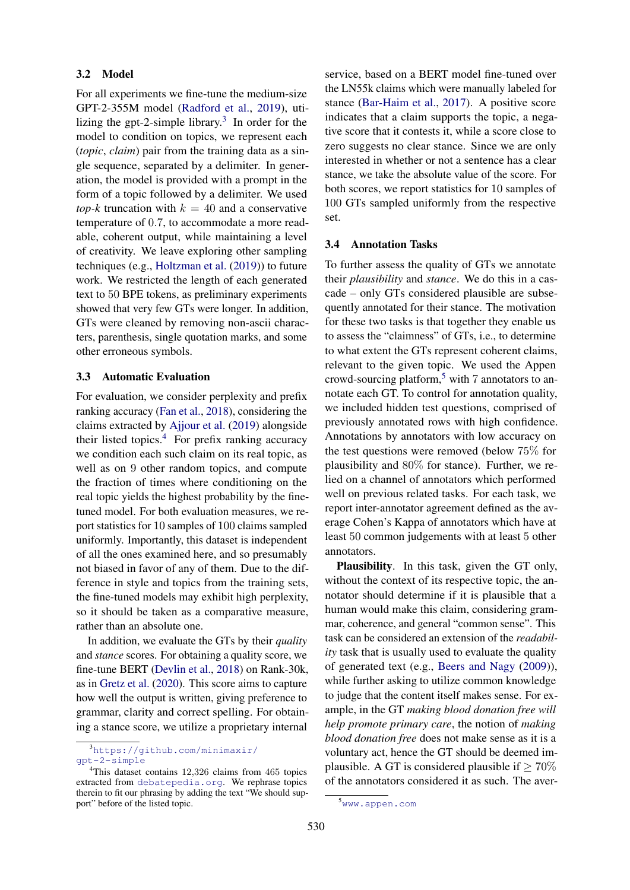### 3.2 Model

For all experiments we fine-tune the medium-size GPT-2-355M model [\(Radford et al.,](#page-10-0) [2019\)](#page-10-0), utilizing the gpt-2-simple library. $3$  In order for the model to condition on topics, we represent each (*topic*, *claim*) pair from the training data as a single sequence, separated by a delimiter. In generation, the model is provided with a prompt in the form of a topic followed by a delimiter. We used *top-k* truncation with  $k = 40$  and a conservative temperature of 0.7, to accommodate a more readable, coherent output, while maintaining a level of creativity. We leave exploring other sampling techniques (e.g., [Holtzman et al.](#page-9-12) [\(2019\)](#page-9-12)) to future work. We restricted the length of each generated text to 50 BPE tokens, as preliminary experiments showed that very few GTs were longer. In addition, GTs were cleaned by removing non-ascii characters, parenthesis, single quotation marks, and some other erroneous symbols.

### <span id="page-2-4"></span>3.3 Automatic Evaluation

For evaluation, we consider perplexity and prefix ranking accuracy [\(Fan et al.,](#page-9-1) [2018\)](#page-9-1), considering the claims extracted by [Ajjour et al.](#page-8-0) [\(2019\)](#page-8-0) alongside their listed topics. $4$  For prefix ranking accuracy we condition each such claim on its real topic, as well as on 9 other random topics, and compute the fraction of times where conditioning on the real topic yields the highest probability by the finetuned model. For both evaluation measures, we report statistics for 10 samples of 100 claims sampled uniformly. Importantly, this dataset is independent of all the ones examined here, and so presumably not biased in favor of any of them. Due to the difference in style and topics from the training sets, the fine-tuned models may exhibit high perplexity, so it should be taken as a comparative measure, rather than an absolute one.

In addition, we evaluate the GTs by their *quality* and *stance* scores. For obtaining a quality score, we fine-tune BERT [\(Devlin et al.,](#page-9-13) [2018\)](#page-9-13) on Rank-30k, as in [Gretz et al.](#page-9-10) [\(2020\)](#page-9-10). This score aims to capture how well the output is written, giving preference to grammar, clarity and correct spelling. For obtaining a stance score, we utilize a proprietary internal service, based on a BERT model fine-tuned over the LN55k claims which were manually labeled for stance [\(Bar-Haim et al.,](#page-9-14) [2017\)](#page-9-14). A positive score indicates that a claim supports the topic, a negative score that it contests it, while a score close to zero suggests no clear stance. Since we are only interested in whether or not a sentence has a clear stance, we take the absolute value of the score. For both scores, we report statistics for 10 samples of 100 GTs sampled uniformly from the respective set.

#### <span id="page-2-3"></span>3.4 Annotation Tasks

To further assess the quality of GTs we annotate their *plausibility* and *stance*. We do this in a cascade – only GTs considered plausible are subsequently annotated for their stance. The motivation for these two tasks is that together they enable us to assess the "claimness" of GTs, i.e., to determine to what extent the GTs represent coherent claims, relevant to the given topic. We used the Appen crowd-sourcing platform,<sup>[5](#page-2-2)</sup> with 7 annotators to annotate each GT. To control for annotation quality, we included hidden test questions, comprised of previously annotated rows with high confidence. Annotations by annotators with low accuracy on the test questions were removed (below 75% for plausibility and 80% for stance). Further, we relied on a channel of annotators which performed well on previous related tasks. For each task, we report inter-annotator agreement defined as the average Cohen's Kappa of annotators which have at least 50 common judgements with at least 5 other annotators.

Plausibility. In this task, given the GT only, without the context of its respective topic, the annotator should determine if it is plausible that a human would make this claim, considering grammar, coherence, and general "common sense". This task can be considered an extension of the *readability* task that is usually used to evaluate the quality of generated text (e.g., [Beers and Nagy](#page-9-15) [\(2009\)](#page-9-15)), while further asking to utilize common knowledge to judge that the content itself makes sense. For example, in the GT *making blood donation free will help promote primary care*, the notion of *making blood donation free* does not make sense as it is a voluntary act, hence the GT should be deemed implausible. A GT is considered plausible if  $> 70\%$ of the annotators considered it as such. The aver-

<span id="page-2-0"></span><sup>3</sup>[https://github.com/minimaxir/](https://github.com/minimaxir/gpt-2-simple) [gpt-2-simple](https://github.com/minimaxir/gpt-2-simple)

<span id="page-2-1"></span><sup>4</sup>This dataset contains 12,326 claims from 465 topics extracted from <debatepedia.org>. We rephrase topics therein to fit our phrasing by adding the text "We should support" before of the listed topic.

<span id="page-2-2"></span><sup>5</sup><www.appen.com>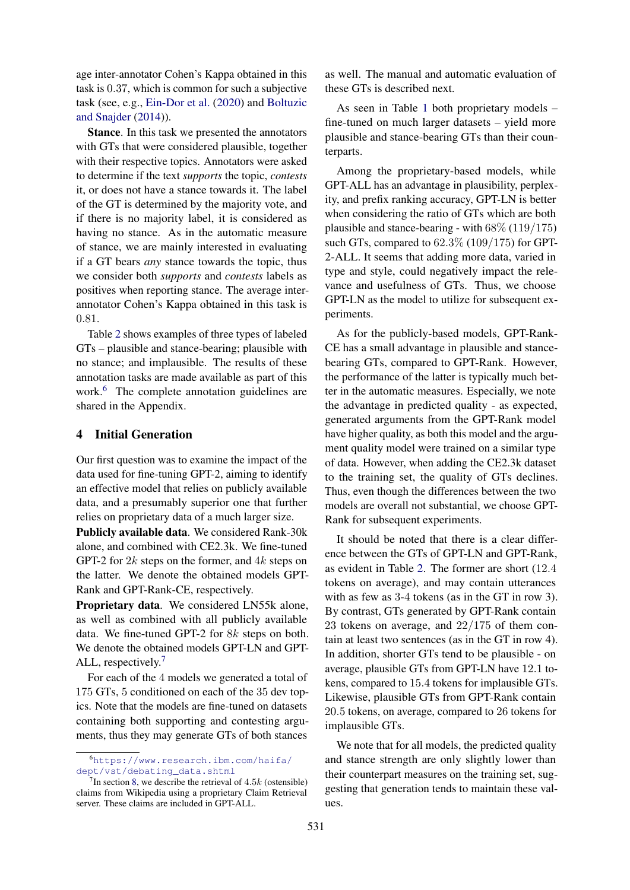age inter-annotator Cohen's Kappa obtained in this task is 0.37, which is common for such a subjective task (see, e.g., [Ein-Dor et al.](#page-9-11) [\(2020\)](#page-9-11) and [Boltuzic](#page-9-16) [and Snajder](#page-9-16) [\(2014\)](#page-9-16)).

Stance. In this task we presented the annotators with GTs that were considered plausible, together with their respective topics. Annotators were asked to determine if the text *supports* the topic, *contests* it, or does not have a stance towards it. The label of the GT is determined by the majority vote, and if there is no majority label, it is considered as having no stance. As in the automatic measure of stance, we are mainly interested in evaluating if a GT bears *any* stance towards the topic, thus we consider both *supports* and *contests* labels as positives when reporting stance. The average interannotator Cohen's Kappa obtained in this task is 0.81.

Table [2](#page-4-0) shows examples of three types of labeled GTs – plausible and stance-bearing; plausible with no stance; and implausible. The results of these annotation tasks are made available as part of this work.<sup>[6](#page-3-0)</sup> The complete annotation guidelines are shared in the Appendix.

# <span id="page-3-2"></span>4 Initial Generation

Our first question was to examine the impact of the data used for fine-tuning GPT-2, aiming to identify an effective model that relies on publicly available data, and a presumably superior one that further relies on proprietary data of a much larger size.

Publicly available data. We considered Rank-30k alone, and combined with CE2.3k. We fine-tuned GPT-2 for  $2k$  steps on the former, and  $4k$  steps on the latter. We denote the obtained models GPT-Rank and GPT-Rank-CE, respectively.

Proprietary data. We considered LN55k alone, as well as combined with all publicly available data. We fine-tuned GPT-2 for 8k steps on both. We denote the obtained models GPT-LN and GPT-ALL, respectively.<sup>[7](#page-3-1)</sup>

For each of the 4 models we generated a total of 175 GTs, 5 conditioned on each of the 35 dev topics. Note that the models are fine-tuned on datasets containing both supporting and contesting arguments, thus they may generate GTs of both stances

as well. The manual and automatic evaluation of these GTs is described next.

As seen in Table [1](#page-4-1) both proprietary models – fine-tuned on much larger datasets – yield more plausible and stance-bearing GTs than their counterparts.

Among the proprietary-based models, while GPT-ALL has an advantage in plausibility, perplexity, and prefix ranking accuracy, GPT-LN is better when considering the ratio of GTs which are both plausible and stance-bearing - with  $68\%$  (119/175) such GTs, compared to 62.3% (109/175) for GPT-2-ALL. It seems that adding more data, varied in type and style, could negatively impact the relevance and usefulness of GTs. Thus, we choose GPT-LN as the model to utilize for subsequent experiments.

As for the publicly-based models, GPT-Rank-CE has a small advantage in plausible and stancebearing GTs, compared to GPT-Rank. However, the performance of the latter is typically much better in the automatic measures. Especially, we note the advantage in predicted quality - as expected, generated arguments from the GPT-Rank model have higher quality, as both this model and the argument quality model were trained on a similar type of data. However, when adding the CE2.3k dataset to the training set, the quality of GTs declines. Thus, even though the differences between the two models are overall not substantial, we choose GPT-Rank for subsequent experiments.

It should be noted that there is a clear difference between the GTs of GPT-LN and GPT-Rank, as evident in Table [2.](#page-4-0) The former are short (12.4 tokens on average), and may contain utterances with as few as 3-4 tokens (as in the GT in row 3). By contrast, GTs generated by GPT-Rank contain 23 tokens on average, and 22/175 of them contain at least two sentences (as in the GT in row 4). In addition, shorter GTs tend to be plausible - on average, plausible GTs from GPT-LN have 12.1 tokens, compared to 15.4 tokens for implausible GTs. Likewise, plausible GTs from GPT-Rank contain 20.5 tokens, on average, compared to 26 tokens for implausible GTs.

We note that for all models, the predicted quality and stance strength are only slightly lower than their counterpart measures on the training set, suggesting that generation tends to maintain these values.

<span id="page-3-0"></span><sup>6</sup>[https://www.research.ibm.com/haifa/](https://www.research.ibm.com/haifa/dept/vst/debating_data.shtml) [dept/vst/debating\\_data.shtml](https://www.research.ibm.com/haifa/dept/vst/debating_data.shtml)

<span id="page-3-1"></span><sup>&</sup>lt;sup>7</sup>In section [8,](#page-8-1) we describe the retrieval of  $4.5k$  (ostensible) claims from Wikipedia using a proprietary Claim Retrieval server. These claims are included in GPT-ALL.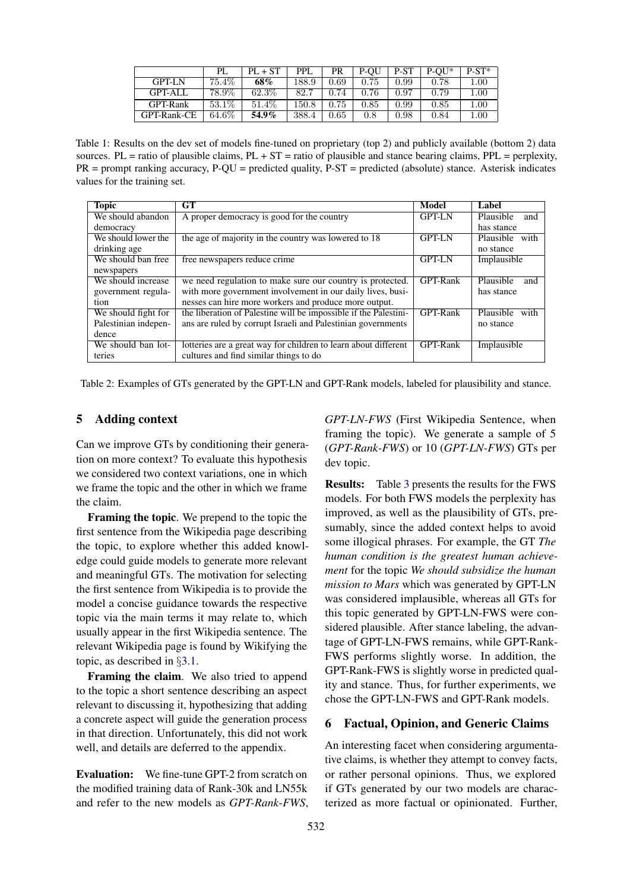<span id="page-4-1"></span>

|               | PL.    | $PL + ST$ | PPL.  | PR   | P-OU | P-ST | $P-OU^*$ | $P-ST^*$ |
|---------------|--------|-----------|-------|------|------|------|----------|----------|
| <b>GPT-LN</b> | 75.4\% | 68%       | 188.9 | 0.69 | 0.75 | 0.99 | 0.78     | 1.00     |
| GPT-ALL       | 78.9%  | $62.3\%$  | 82.7  | 0.74 | 0.76 | 0.97 | 0.79     | 1.00     |
| GPT-Rank      | 53.1\% | 51.4\%    | 150.8 | 0.75 | 0.85 | 0.99 | 0.85     | 1.00     |
| GPT-Rank-CE   | 64.6%  | 54.9%     | 388.4 | 0.65 | 0.8  | 0.98 | 0.84     | $1.00\,$ |

Table 1: Results on the dev set of models fine-tuned on proprietary (top 2) and publicly available (bottom 2) data sources. PL = ratio of plausible claims,  $PL + ST =$  ratio of plausible and stance bearing claims,  $PPL =$  perplexity, PR = prompt ranking accuracy, P-QU = predicted quality, P-ST = predicted (absolute) stance. Asterisk indicates values for the training set.

<span id="page-4-0"></span>

| <b>Topic</b>         | GT                                                               | Model         | Label             |
|----------------------|------------------------------------------------------------------|---------------|-------------------|
| We should abandon    | A proper democracy is good for the country                       | <b>GPT-LN</b> | Plausible<br>and  |
| democracy            |                                                                  |               | has stance        |
| We should lower the  | the age of majority in the country was lowered to 18             | <b>GPT-LN</b> | Plausible with    |
| drinking age         |                                                                  |               | no stance         |
| We should ban free   | free newspapers reduce crime                                     | <b>GPT-LN</b> | Implausible       |
| newspapers           |                                                                  |               |                   |
| We should increase   | we need regulation to make sure our country is protected.        | GPT-Rank      | Plausible<br>and  |
| government regula-   | with more government involvement in our daily lives, busi-       |               | has stance        |
| tion                 | nesses can hire more workers and produce more output.            |               |                   |
| We should fight for  | the liberation of Palestine will be impossible if the Palestini- | GPT-Rank      | Plausible<br>with |
| Palestinian indepen- | ans are ruled by corrupt Israeli and Palestinian governments     |               | no stance         |
| dence                |                                                                  |               |                   |
| We should ban lot-   | lotteries are a great way for children to learn about different  | GPT-Rank      | Implausible       |
| teries               | cultures and find similar things to do                           |               |                   |

Table 2: Examples of GTs generated by the GPT-LN and GPT-Rank models, labeled for plausibility and stance.

### 5 Adding context

Can we improve GTs by conditioning their generation on more context? To evaluate this hypothesis we considered two context variations, one in which we frame the topic and the other in which we frame the claim.

Framing the topic. We prepend to the topic the first sentence from the Wikipedia page describing the topic, to explore whether this added knowledge could guide models to generate more relevant and meaningful GTs. The motivation for selecting the first sentence from Wikipedia is to provide the model a concise guidance towards the respective topic via the main terms it may relate to, which usually appear in the first Wikipedia sentence. The relevant Wikipedia page is found by Wikifying the topic, as described in §[3.1.](#page-1-1)

Framing the claim. We also tried to append to the topic a short sentence describing an aspect relevant to discussing it, hypothesizing that adding a concrete aspect will guide the generation process in that direction. Unfortunately, this did not work well, and details are deferred to the appendix.

Evaluation: We fine-tune GPT-2 from scratch on the modified training data of Rank-30k and LN55k and refer to the new models as *GPT-Rank-FWS*, *GPT-LN-FWS* (First Wikipedia Sentence, when framing the topic). We generate a sample of 5 (*GPT-Rank-FWS*) or 10 (*GPT-LN-FWS*) GTs per dev topic.

Results: Table [3](#page-5-0) presents the results for the FWS models. For both FWS models the perplexity has improved, as well as the plausibility of GTs, presumably, since the added context helps to avoid some illogical phrases. For example, the GT *The human condition is the greatest human achievement* for the topic *We should subsidize the human mission to Mars* which was generated by GPT-LN was considered implausible, whereas all GTs for this topic generated by GPT-LN-FWS were considered plausible. After stance labeling, the advantage of GPT-LN-FWS remains, while GPT-Rank-FWS performs slightly worse. In addition, the GPT-Rank-FWS is slightly worse in predicted quality and stance. Thus, for further experiments, we chose the GPT-LN-FWS and GPT-Rank models.

### 6 Factual, Opinion, and Generic Claims

An interesting facet when considering argumentative claims, is whether they attempt to convey facts, or rather personal opinions. Thus, we explored if GTs generated by our two models are characterized as more factual or opinionated. Further,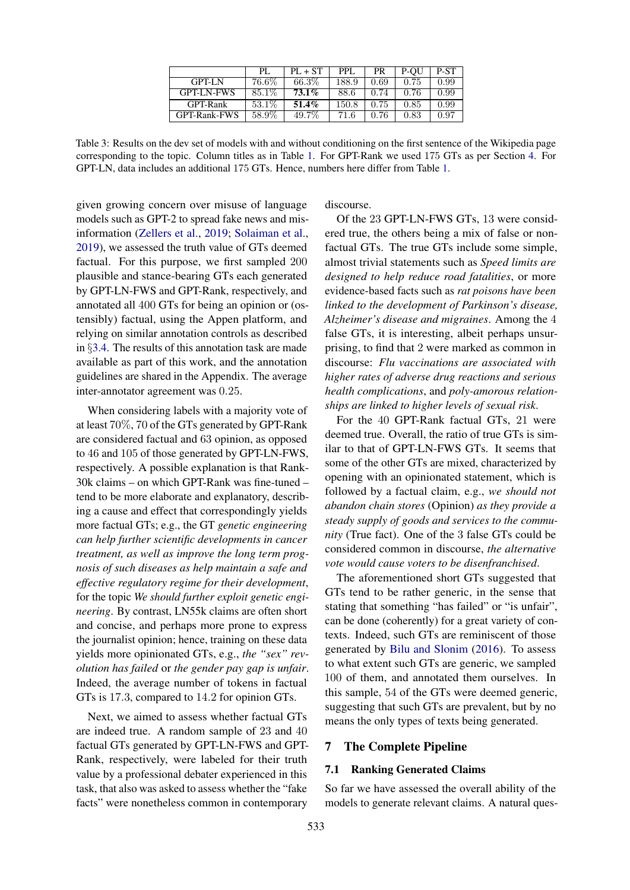|                   | PL.      | $PL + ST$ | PPL.  | <b>PR</b> | P-OU | P-ST |
|-------------------|----------|-----------|-------|-----------|------|------|
| <b>GPT-LN</b>     | $76.6\%$ | 66.3%     | 188.9 | 0.69      | 0.75 | 0.99 |
| <b>GPT-LN-FWS</b> | 85.1%    | $73.1\%$  | 88.6  | 0.74      | 0.76 | 0.99 |
| GPT-Rank          | 53.1\%   | $51.4\%$  | 150.8 | 0.75      | 0.85 | 0.99 |
| GPT-Rank-FWS      | $58.9\%$ | 49.7%     | 71.6  | 0.76      | 0.83 | 0.97 |

<span id="page-5-0"></span>Table 3: Results on the dev set of models with and without conditioning on the first sentence of the Wikipedia page corresponding to the topic. Column titles as in Table [1.](#page-4-1) For GPT-Rank we used 175 GTs as per Section [4.](#page-3-2) For GPT-LN, data includes an additional 175 GTs. Hence, numbers here differ from Table [1.](#page-4-1)

given growing concern over misuse of language models such as GPT-2 to spread fake news and misinformation [\(Zellers et al.,](#page-10-9) [2019;](#page-10-9) [Solaiman et al.,](#page-10-10) [2019\)](#page-10-10), we assessed the truth value of GTs deemed factual. For this purpose, we first sampled 200 plausible and stance-bearing GTs each generated by GPT-LN-FWS and GPT-Rank, respectively, and annotated all 400 GTs for being an opinion or (ostensibly) factual, using the Appen platform, and relying on similar annotation controls as described in §[3.4.](#page-2-3) The results of this annotation task are made available as part of this work, and the annotation guidelines are shared in the Appendix. The average inter-annotator agreement was 0.25.

When considering labels with a majority vote of at least 70%, 70 of the GTs generated by GPT-Rank are considered factual and 63 opinion, as opposed to 46 and 105 of those generated by GPT-LN-FWS, respectively. A possible explanation is that Rank-30k claims – on which GPT-Rank was fine-tuned – tend to be more elaborate and explanatory, describing a cause and effect that correspondingly yields more factual GTs; e.g., the GT *genetic engineering can help further scientific developments in cancer treatment, as well as improve the long term prognosis of such diseases as help maintain a safe and effective regulatory regime for their development*, for the topic *We should further exploit genetic engineering*. By contrast, LN55k claims are often short and concise, and perhaps more prone to express the journalist opinion; hence, training on these data yields more opinionated GTs, e.g., *the "sex" revolution has failed* or *the gender pay gap is unfair*. Indeed, the average number of tokens in factual GTs is 17.3, compared to 14.2 for opinion GTs.

Next, we aimed to assess whether factual GTs are indeed true. A random sample of 23 and 40 factual GTs generated by GPT-LN-FWS and GPT-Rank, respectively, were labeled for their truth value by a professional debater experienced in this task, that also was asked to assess whether the "fake facts" were nonetheless common in contemporary

discourse.

Of the 23 GPT-LN-FWS GTs, 13 were considered true, the others being a mix of false or nonfactual GTs. The true GTs include some simple, almost trivial statements such as *Speed limits are designed to help reduce road fatalities*, or more evidence-based facts such as *rat poisons have been linked to the development of Parkinson's disease, Alzheimer's disease and migraines*. Among the 4 false GTs, it is interesting, albeit perhaps unsurprising, to find that 2 were marked as common in discourse: *Flu vaccinations are associated with higher rates of adverse drug reactions and serious health complications*, and *poly-amorous relationships are linked to higher levels of sexual risk*.

For the 40 GPT-Rank factual GTs, 21 were deemed true. Overall, the ratio of true GTs is similar to that of GPT-LN-FWS GTs. It seems that some of the other GTs are mixed, characterized by opening with an opinionated statement, which is followed by a factual claim, e.g., *we should not abandon chain stores* (Opinion) *as they provide a steady supply of goods and services to the community* (True fact). One of the 3 false GTs could be considered common in discourse, *the alternative vote would cause voters to be disenfranchised*.

The aforementioned short GTs suggested that GTs tend to be rather generic, in the sense that stating that something "has failed" or "is unfair", can be done (coherently) for a great variety of contexts. Indeed, such GTs are reminiscent of those generated by [Bilu and Slonim](#page-9-0) [\(2016\)](#page-9-0). To assess to what extent such GTs are generic, we sampled 100 of them, and annotated them ourselves. In this sample, 54 of the GTs were deemed generic, suggesting that such GTs are prevalent, but by no means the only types of texts being generated.

### 7 The Complete Pipeline

### <span id="page-5-1"></span>7.1 Ranking Generated Claims

So far we have assessed the overall ability of the models to generate relevant claims. A natural ques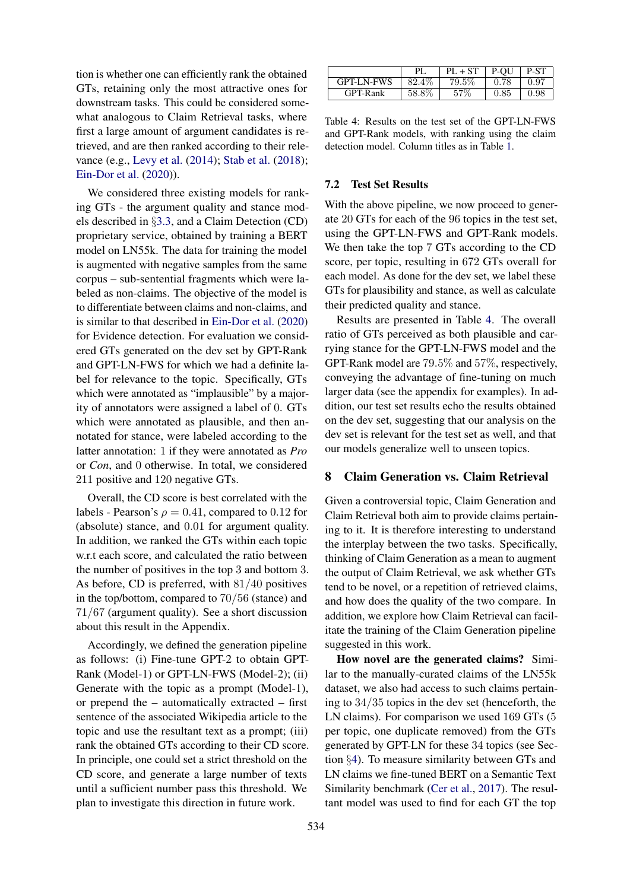tion is whether one can efficiently rank the obtained GTs, retaining only the most attractive ones for downstream tasks. This could be considered somewhat analogous to Claim Retrieval tasks, where first a large amount of argument candidates is retrieved, and are then ranked according to their relevance (e.g., [Levy et al.](#page-10-11) [\(2014\)](#page-10-11); [Stab et al.](#page-10-12) [\(2018\)](#page-10-12); [Ein-Dor et al.](#page-9-11) [\(2020\)](#page-9-11)).

We considered three existing models for ranking GTs - the argument quality and stance models described in §[3.3,](#page-2-4) and a Claim Detection (CD) proprietary service, obtained by training a BERT model on LN55k. The data for training the model is augmented with negative samples from the same corpus – sub-sentential fragments which were labeled as non-claims. The objective of the model is to differentiate between claims and non-claims, and is similar to that described in [Ein-Dor et al.](#page-9-11) [\(2020\)](#page-9-11) for Evidence detection. For evaluation we considered GTs generated on the dev set by GPT-Rank and GPT-LN-FWS for which we had a definite label for relevance to the topic. Specifically, GTs which were annotated as "implausible" by a majority of annotators were assigned a label of 0. GTs which were annotated as plausible, and then annotated for stance, were labeled according to the latter annotation: 1 if they were annotated as *Pro* or *Con*, and 0 otherwise. In total, we considered 211 positive and 120 negative GTs.

Overall, the CD score is best correlated with the labels - Pearson's  $\rho = 0.41$ , compared to 0.12 for (absolute) stance, and 0.01 for argument quality. In addition, we ranked the GTs within each topic w.r.t each score, and calculated the ratio between the number of positives in the top 3 and bottom 3. As before, CD is preferred, with 81/40 positives in the top/bottom, compared to 70/56 (stance) and 71/67 (argument quality). See a short discussion about this result in the Appendix.

Accordingly, we defined the generation pipeline as follows: (i) Fine-tune GPT-2 to obtain GPT-Rank (Model-1) or GPT-LN-FWS (Model-2); (ii) Generate with the topic as a prompt (Model-1), or prepend the – automatically extracted – first sentence of the associated Wikipedia article to the topic and use the resultant text as a prompt; (iii) rank the obtained GTs according to their CD score. In principle, one could set a strict threshold on the CD score, and generate a large number of texts until a sufficient number pass this threshold. We plan to investigate this direction in future work.

<span id="page-6-0"></span>

|                   | РI     | $PL + ST$ | P-OU | P-ST       |
|-------------------|--------|-----------|------|------------|
| <b>GPT-LN-FWS</b> | 82.4\% | 79.5.     | 0.78 | 0.97       |
| GPT-Rank          | 58.8%  | 57\%      | 0.85 | $\rm 0.98$ |

Table 4: Results on the test set of the GPT-LN-FWS and GPT-Rank models, with ranking using the claim detection model. Column titles as in Table [1.](#page-4-1)

### 7.2 Test Set Results

With the above pipeline, we now proceed to generate 20 GTs for each of the 96 topics in the test set, using the GPT-LN-FWS and GPT-Rank models. We then take the top 7 GTs according to the CD score, per topic, resulting in 672 GTs overall for each model. As done for the dev set, we label these GTs for plausibility and stance, as well as calculate their predicted quality and stance.

Results are presented in Table [4.](#page-6-0) The overall ratio of GTs perceived as both plausible and carrying stance for the GPT-LN-FWS model and the GPT-Rank model are 79.5% and 57%, respectively, conveying the advantage of fine-tuning on much larger data (see the appendix for examples). In addition, our test set results echo the results obtained on the dev set, suggesting that our analysis on the dev set is relevant for the test set as well, and that our models generalize well to unseen topics.

#### 8 Claim Generation vs. Claim Retrieval

Given a controversial topic, Claim Generation and Claim Retrieval both aim to provide claims pertaining to it. It is therefore interesting to understand the interplay between the two tasks. Specifically, thinking of Claim Generation as a mean to augment the output of Claim Retrieval, we ask whether GTs tend to be novel, or a repetition of retrieved claims, and how does the quality of the two compare. In addition, we explore how Claim Retrieval can facilitate the training of the Claim Generation pipeline suggested in this work.

How novel are the generated claims? Similar to the manually-curated claims of the LN55k dataset, we also had access to such claims pertaining to 34/35 topics in the dev set (henceforth, the LN claims). For comparison we used 169 GTs  $(5)$ per topic, one duplicate removed) from the GTs generated by GPT-LN for these 34 topics (see Section §[4\)](#page-3-2). To measure similarity between GTs and LN claims we fine-tuned BERT on a Semantic Text Similarity benchmark [\(Cer et al.,](#page-9-17) [2017\)](#page-9-17). The resultant model was used to find for each GT the top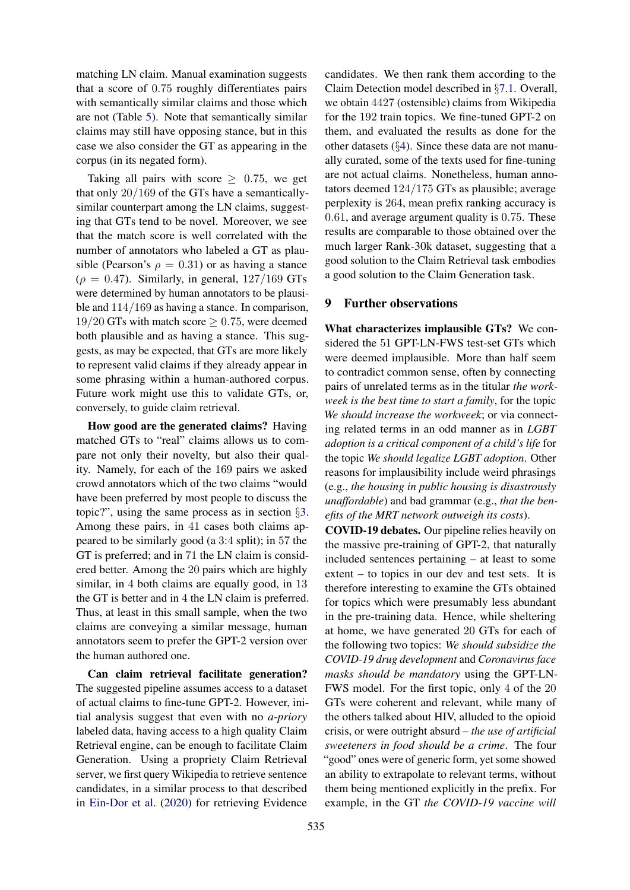matching LN claim. Manual examination suggests that a score of 0.75 roughly differentiates pairs with semantically similar claims and those which are not (Table [5\)](#page-8-1). Note that semantically similar claims may still have opposing stance, but in this case we also consider the GT as appearing in the corpus (in its negated form).

Taking all pairs with score  $\geq 0.75$ , we get that only 20/169 of the GTs have a semanticallysimilar counterpart among the LN claims, suggesting that GTs tend to be novel. Moreover, we see that the match score is well correlated with the number of annotators who labeled a GT as plausible (Pearson's  $\rho = 0.31$ ) or as having a stance  $(\rho = 0.47)$ . Similarly, in general, 127/169 GTs were determined by human annotators to be plausible and 114/169 as having a stance. In comparison, 19/20 GTs with match score  $\geq$  0.75, were deemed both plausible and as having a stance. This suggests, as may be expected, that GTs are more likely to represent valid claims if they already appear in some phrasing within a human-authored corpus. Future work might use this to validate GTs, or, conversely, to guide claim retrieval.

How good are the generated claims? Having matched GTs to "real" claims allows us to compare not only their novelty, but also their quality. Namely, for each of the 169 pairs we asked crowd annotators which of the two claims "would have been preferred by most people to discuss the topic?", using the same process as in section §[3.](#page-1-2) Among these pairs, in 41 cases both claims appeared to be similarly good (a 3:4 split); in 57 the GT is preferred; and in 71 the LN claim is considered better. Among the 20 pairs which are highly similar, in 4 both claims are equally good, in 13 the GT is better and in 4 the LN claim is preferred. Thus, at least in this small sample, when the two claims are conveying a similar message, human annotators seem to prefer the GPT-2 version over the human authored one.

Can claim retrieval facilitate generation? The suggested pipeline assumes access to a dataset of actual claims to fine-tune GPT-2. However, initial analysis suggest that even with no *a-priory* labeled data, having access to a high quality Claim Retrieval engine, can be enough to facilitate Claim Generation. Using a propriety Claim Retrieval server, we first query Wikipedia to retrieve sentence candidates, in a similar process to that described in [Ein-Dor et al.](#page-9-11) [\(2020\)](#page-9-11) for retrieving Evidence

candidates. We then rank them according to the Claim Detection model described in §[7.1.](#page-5-1) Overall, we obtain 4427 (ostensible) claims from Wikipedia for the 192 train topics. We fine-tuned GPT-2 on them, and evaluated the results as done for the other datasets (§[4\)](#page-3-2). Since these data are not manually curated, some of the texts used for fine-tuning are not actual claims. Nonetheless, human annotators deemed 124/175 GTs as plausible; average perplexity is 264, mean prefix ranking accuracy is 0.61, and average argument quality is 0.75. These results are comparable to those obtained over the much larger Rank-30k dataset, suggesting that a good solution to the Claim Retrieval task embodies a good solution to the Claim Generation task.

# 9 Further observations

What characterizes implausible GTs? We considered the 51 GPT-LN-FWS test-set GTs which were deemed implausible. More than half seem to contradict common sense, often by connecting pairs of unrelated terms as in the titular *the workweek is the best time to start a family*, for the topic *We should increase the workweek*; or via connecting related terms in an odd manner as in *LGBT adoption is a critical component of a child's life* for the topic *We should legalize LGBT adoption*. Other reasons for implausibility include weird phrasings (e.g., *the housing in public housing is disastrously unaffordable*) and bad grammar (e.g., *that the benefits of the MRT network outweigh its costs*).

COVID-19 debates. Our pipeline relies heavily on the massive pre-training of GPT-2, that naturally included sentences pertaining – at least to some extent – to topics in our dev and test sets. It is therefore interesting to examine the GTs obtained for topics which were presumably less abundant in the pre-training data. Hence, while sheltering at home, we have generated 20 GTs for each of the following two topics: *We should subsidize the COVID-19 drug development* and *Coronavirus face masks should be mandatory* using the GPT-LN-FWS model. For the first topic, only 4 of the 20 GTs were coherent and relevant, while many of the others talked about HIV, alluded to the opioid crisis, or were outright absurd – *the use of artificial sweeteners in food should be a crime*. The four "good" ones were of generic form, yet some showed an ability to extrapolate to relevant terms, without them being mentioned explicitly in the prefix. For example, in the GT *the COVID-19 vaccine will*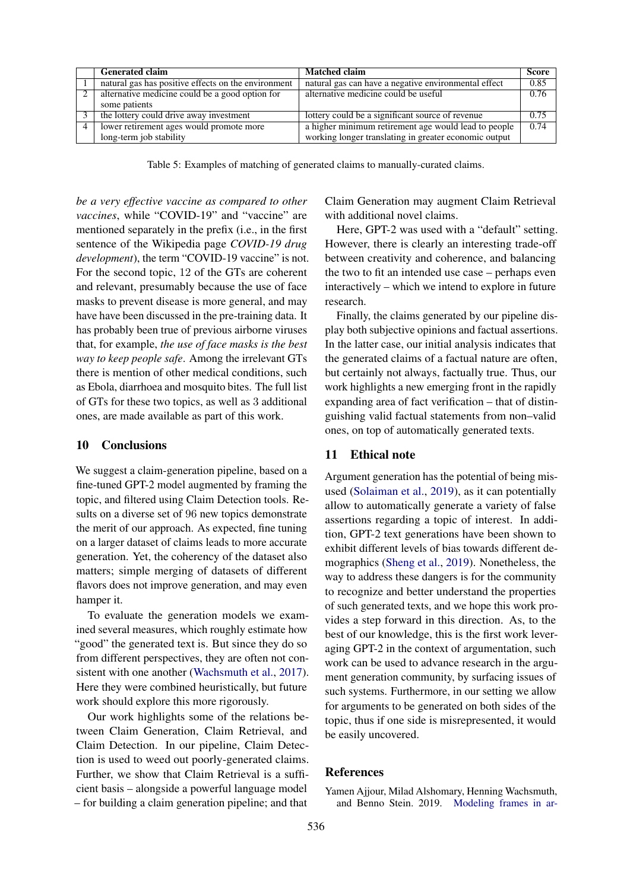<span id="page-8-1"></span>

| <b>Generated claim</b>                              | <b>Matched claim</b>                                  | <b>Score</b> |
|-----------------------------------------------------|-------------------------------------------------------|--------------|
| natural gas has positive effects on the environment | natural gas can have a negative environmental effect  | 0.85         |
| alternative medicine could be a good option for     | alternative medicine could be useful                  | 0.76         |
| some patients                                       |                                                       |              |
| the lottery could drive away investment             | lottery could be a significant source of revenue      | 0.75         |
| lower retirement ages would promote more            | a higher minimum retirement age would lead to people  | 0.74         |
| long-term job stability                             | working longer translating in greater economic output |              |

Table 5: Examples of matching of generated claims to manually-curated claims.

*be a very effective vaccine as compared to other vaccines*, while "COVID-19" and "vaccine" are mentioned separately in the prefix (i.e., in the first sentence of the Wikipedia page *COVID-19 drug development*), the term "COVID-19 vaccine" is not. For the second topic, 12 of the GTs are coherent and relevant, presumably because the use of face masks to prevent disease is more general, and may have have been discussed in the pre-training data. It has probably been true of previous airborne viruses that, for example, *the use of face masks is the best way to keep people safe*. Among the irrelevant GTs there is mention of other medical conditions, such as Ebola, diarrhoea and mosquito bites. The full list of GTs for these two topics, as well as 3 additional ones, are made available as part of this work.

# 10 Conclusions

We suggest a claim-generation pipeline, based on a fine-tuned GPT-2 model augmented by framing the topic, and filtered using Claim Detection tools. Results on a diverse set of 96 new topics demonstrate the merit of our approach. As expected, fine tuning on a larger dataset of claims leads to more accurate generation. Yet, the coherency of the dataset also matters; simple merging of datasets of different flavors does not improve generation, and may even hamper it.

To evaluate the generation models we examined several measures, which roughly estimate how "good" the generated text is. But since they do so from different perspectives, they are often not consistent with one another [\(Wachsmuth et al.,](#page-10-13) [2017\)](#page-10-13). Here they were combined heuristically, but future work should explore this more rigorously.

Our work highlights some of the relations between Claim Generation, Claim Retrieval, and Claim Detection. In our pipeline, Claim Detection is used to weed out poorly-generated claims. Further, we show that Claim Retrieval is a sufficient basis – alongside a powerful language model – for building a claim generation pipeline; and that

Claim Generation may augment Claim Retrieval with additional novel claims.

Here, GPT-2 was used with a "default" setting. However, there is clearly an interesting trade-off between creativity and coherence, and balancing the two to fit an intended use case – perhaps even interactively – which we intend to explore in future research.

Finally, the claims generated by our pipeline display both subjective opinions and factual assertions. In the latter case, our initial analysis indicates that the generated claims of a factual nature are often, but certainly not always, factually true. Thus, our work highlights a new emerging front in the rapidly expanding area of fact verification – that of distinguishing valid factual statements from non–valid ones, on top of automatically generated texts.

#### 11 Ethical note

Argument generation has the potential of being misused [\(Solaiman et al.,](#page-10-10) [2019\)](#page-10-10), as it can potentially allow to automatically generate a variety of false assertions regarding a topic of interest. In addition, GPT-2 text generations have been shown to exhibit different levels of bias towards different demographics [\(Sheng et al.,](#page-10-14) [2019\)](#page-10-14). Nonetheless, the way to address these dangers is for the community to recognize and better understand the properties of such generated texts, and we hope this work provides a step forward in this direction. As, to the best of our knowledge, this is the first work leveraging GPT-2 in the context of argumentation, such work can be used to advance research in the argument generation community, by surfacing issues of such systems. Furthermore, in our setting we allow for arguments to be generated on both sides of the topic, thus if one side is misrepresented, it would be easily uncovered.

### References

<span id="page-8-0"></span>Yamen Ajjour, Milad Alshomary, Henning Wachsmuth, and Benno Stein. 2019. [Modeling frames in ar-](https://doi.org/10.18653/v1/D19-1290)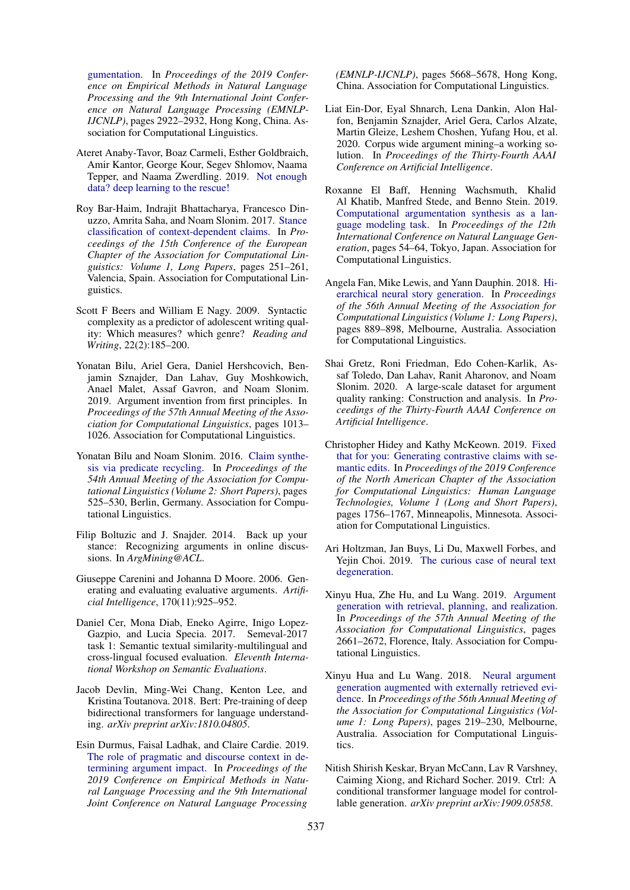[gumentation.](https://doi.org/10.18653/v1/D19-1290) In *Proceedings of the 2019 Conference on Empirical Methods in Natural Language Processing and the 9th International Joint Conference on Natural Language Processing (EMNLP-IJCNLP)*, pages 2922–2932, Hong Kong, China. Association for Computational Linguistics.

- <span id="page-9-18"></span>Ateret Anaby-Tavor, Boaz Carmeli, Esther Goldbraich, Amir Kantor, George Kour, Segev Shlomov, Naama Tepper, and Naama Zwerdling. 2019. [Not enough](http://arxiv.org/abs/1911.03118) [data? deep learning to the rescue!](http://arxiv.org/abs/1911.03118)
- <span id="page-9-14"></span>Roy Bar-Haim, Indrajit Bhattacharya, Francesco Dinuzzo, Amrita Saha, and Noam Slonim. 2017. [Stance](https://www.aclweb.org/anthology/E17-1024) [classification of context-dependent claims.](https://www.aclweb.org/anthology/E17-1024) In *Proceedings of the 15th Conference of the European Chapter of the Association for Computational Linguistics: Volume 1, Long Papers*, pages 251–261, Valencia, Spain. Association for Computational Linguistics.
- <span id="page-9-15"></span>Scott F Beers and William E Nagy. 2009. Syntactic complexity as a predictor of adolescent writing quality: Which measures? which genre? *Reading and Writing*, 22(2):185–200.
- <span id="page-9-4"></span>Yonatan Bilu, Ariel Gera, Daniel Hershcovich, Benjamin Sznajder, Dan Lahav, Guy Moshkowich, Anael Malet, Assaf Gavron, and Noam Slonim. 2019. Argument invention from first principles. In *Proceedings of the 57th Annual Meeting of the Association for Computational Linguistics*, pages 1013– 1026. Association for Computational Linguistics.
- <span id="page-9-0"></span>Yonatan Bilu and Noam Slonim. 2016. [Claim synthe](https://doi.org/10.18653/v1/P16-2085)[sis via predicate recycling.](https://doi.org/10.18653/v1/P16-2085) In *Proceedings of the 54th Annual Meeting of the Association for Computational Linguistics (Volume 2: Short Papers)*, pages 525–530, Berlin, Germany. Association for Computational Linguistics.
- <span id="page-9-16"></span>Filip Boltuzic and J. Snajder. 2014. Back up your stance: Recognizing arguments in online discussions. In *ArgMining@ACL*.
- <span id="page-9-2"></span>Giuseppe Carenini and Johanna D Moore. 2006. Generating and evaluating evaluative arguments. *Artificial Intelligence*, 170(11):925–952.
- <span id="page-9-17"></span>Daniel Cer, Mona Diab, Eneko Agirre, Inigo Lopez-Gazpio, and Lucia Specia. 2017. Semeval-2017 task 1: Semantic textual similarity-multilingual and cross-lingual focused evaluation. *Eleventh International Workshop on Semantic Evaluations*.
- <span id="page-9-13"></span>Jacob Devlin, Ming-Wei Chang, Kenton Lee, and Kristina Toutanova. 2018. Bert: Pre-training of deep bidirectional transformers for language understanding. *arXiv preprint arXiv:1810.04805*.
- <span id="page-9-9"></span>Esin Durmus, Faisal Ladhak, and Claire Cardie. 2019. [The role of pragmatic and discourse context in de](https://doi.org/10.18653/v1/D19-1568)[termining argument impact.](https://doi.org/10.18653/v1/D19-1568) In *Proceedings of the 2019 Conference on Empirical Methods in Natural Language Processing and the 9th International Joint Conference on Natural Language Processing*

*(EMNLP-IJCNLP)*, pages 5668–5678, Hong Kong, China. Association for Computational Linguistics.

- <span id="page-9-11"></span>Liat Ein-Dor, Eyal Shnarch, Lena Dankin, Alon Halfon, Benjamin Sznajder, Ariel Gera, Carlos Alzate, Martin Gleize, Leshem Choshen, Yufang Hou, et al. 2020. Corpus wide argument mining–a working solution. In *Proceedings of the Thirty-Fourth AAAI Conference on Artificial Intelligence*.
- <span id="page-9-3"></span>Roxanne El Baff, Henning Wachsmuth, Khalid Al Khatib, Manfred Stede, and Benno Stein. 2019. [Computational argumentation synthesis as a lan](https://doi.org/10.18653/v1/W19-8607)[guage modeling task.](https://doi.org/10.18653/v1/W19-8607) In *Proceedings of the 12th International Conference on Natural Language Generation*, pages 54–64, Tokyo, Japan. Association for Computational Linguistics.
- <span id="page-9-1"></span>Angela Fan, Mike Lewis, and Yann Dauphin. 2018. [Hi](https://doi.org/10.18653/v1/P18-1082)[erarchical neural story generation.](https://doi.org/10.18653/v1/P18-1082) In *Proceedings of the 56th Annual Meeting of the Association for Computational Linguistics (Volume 1: Long Papers)*, pages 889–898, Melbourne, Australia. Association for Computational Linguistics.
- <span id="page-9-10"></span>Shai Gretz, Roni Friedman, Edo Cohen-Karlik, Assaf Toledo, Dan Lahav, Ranit Aharonov, and Noam Slonim. 2020. A large-scale dataset for argument quality ranking: Construction and analysis. In *Proceedings of the Thirty-Fourth AAAI Conference on Artificial Intelligence*.
- <span id="page-9-5"></span>Christopher Hidey and Kathy McKeown. 2019. [Fixed](https://doi.org/10.18653/v1/N19-1174) [that for you: Generating contrastive claims with se](https://doi.org/10.18653/v1/N19-1174)[mantic edits.](https://doi.org/10.18653/v1/N19-1174) In *Proceedings of the 2019 Conference of the North American Chapter of the Association for Computational Linguistics: Human Language Technologies, Volume 1 (Long and Short Papers)*, pages 1756–1767, Minneapolis, Minnesota. Association for Computational Linguistics.
- <span id="page-9-12"></span>Ari Holtzman, Jan Buys, Li Du, Maxwell Forbes, and Yejin Choi. 2019. [The curious case of neural text](http://arxiv.org/abs/1904.09751) [degeneration.](http://arxiv.org/abs/1904.09751)
- <span id="page-9-6"></span>Xinyu Hua, Zhe Hu, and Lu Wang. 2019. [Argument](https://doi.org/10.18653/v1/P19-1255) [generation with retrieval, planning, and realization.](https://doi.org/10.18653/v1/P19-1255) In *Proceedings of the 57th Annual Meeting of the Association for Computational Linguistics*, pages 2661–2672, Florence, Italy. Association for Computational Linguistics.
- <span id="page-9-7"></span>Xinyu Hua and Lu Wang. 2018. [Neural argument](https://doi.org/10.18653/v1/P18-1021) [generation augmented with externally retrieved evi](https://doi.org/10.18653/v1/P18-1021)[dence.](https://doi.org/10.18653/v1/P18-1021) In *Proceedings of the 56th Annual Meeting of the Association for Computational Linguistics (Volume 1: Long Papers)*, pages 219–230, Melbourne, Australia. Association for Computational Linguistics.
- <span id="page-9-8"></span>Nitish Shirish Keskar, Bryan McCann, Lav R Varshney, Caiming Xiong, and Richard Socher. 2019. Ctrl: A conditional transformer language model for controllable generation. *arXiv preprint arXiv:1909.05858*.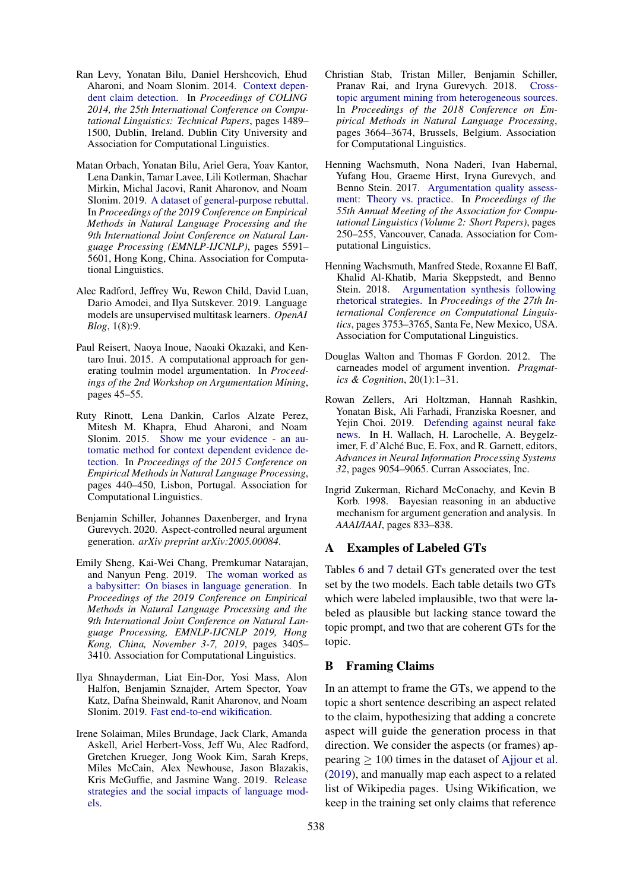- <span id="page-10-11"></span>Ran Levy, Yonatan Bilu, Daniel Hershcovich, Ehud Aharoni, and Noam Slonim. 2014. [Context depen](https://www.aclweb.org/anthology/C14-1141)[dent claim detection.](https://www.aclweb.org/anthology/C14-1141) In *Proceedings of COLING 2014, the 25th International Conference on Computational Linguistics: Technical Papers*, pages 1489– 1500, Dublin, Ireland. Dublin City University and Association for Computational Linguistics.
- <span id="page-10-5"></span>Matan Orbach, Yonatan Bilu, Ariel Gera, Yoav Kantor, Lena Dankin, Tamar Lavee, Lili Kotlerman, Shachar Mirkin, Michal Jacovi, Ranit Aharonov, and Noam Slonim. 2019. [A dataset of general-purpose rebuttal.](https://doi.org/10.18653/v1/D19-1561) In *Proceedings of the 2019 Conference on Empirical Methods in Natural Language Processing and the 9th International Joint Conference on Natural Language Processing (EMNLP-IJCNLP)*, pages 5591– 5601, Hong Kong, China. Association for Computational Linguistics.
- <span id="page-10-0"></span>Alec Radford, Jeffrey Wu, Rewon Child, David Luan, Dario Amodei, and Ilya Sutskever. 2019. Language models are unsupervised multitask learners. *OpenAI Blog*, 1(8):9.
- <span id="page-10-3"></span>Paul Reisert, Naoya Inoue, Naoaki Okazaki, and Kentaro Inui. 2015. A computational approach for generating toulmin model argumentation. In *Proceedings of the 2nd Workshop on Argumentation Mining*, pages 45–55.
- <span id="page-10-7"></span>Ruty Rinott, Lena Dankin, Carlos Alzate Perez, Mitesh M. Khapra, Ehud Aharoni, and Noam Slonim. 2015. [Show me your evidence - an au](https://doi.org/10.18653/v1/D15-1050)[tomatic method for context dependent evidence de](https://doi.org/10.18653/v1/D15-1050)[tection.](https://doi.org/10.18653/v1/D15-1050) In *Proceedings of the 2015 Conference on Empirical Methods in Natural Language Processing*, pages 440–450, Lisbon, Portugal. Association for Computational Linguistics.
- <span id="page-10-6"></span>Benjamin Schiller, Johannes Daxenberger, and Iryna Gurevych. 2020. Aspect-controlled neural argument generation. *arXiv preprint arXiv:2005.00084*.
- <span id="page-10-14"></span>Emily Sheng, Kai-Wei Chang, Premkumar Natarajan, and Nanyun Peng. 2019. [The woman worked as](https://doi.org/10.18653/v1/D19-1339) [a babysitter: On biases in language generation.](https://doi.org/10.18653/v1/D19-1339) In *Proceedings of the 2019 Conference on Empirical Methods in Natural Language Processing and the 9th International Joint Conference on Natural Language Processing, EMNLP-IJCNLP 2019, Hong Kong, China, November 3-7, 2019*, pages 3405– 3410. Association for Computational Linguistics.
- <span id="page-10-8"></span>Ilya Shnayderman, Liat Ein-Dor, Yosi Mass, Alon Halfon, Benjamin Sznajder, Artem Spector, Yoav Katz, Dafna Sheinwald, Ranit Aharonov, and Noam Slonim. 2019. [Fast end-to-end wikification.](http://arxiv.org/abs/1908.06785)
- <span id="page-10-10"></span>Irene Solaiman, Miles Brundage, Jack Clark, Amanda Askell, Ariel Herbert-Voss, Jeff Wu, Alec Radford, Gretchen Krueger, Jong Wook Kim, Sarah Kreps, Miles McCain, Alex Newhouse, Jason Blazakis, Kris McGuffie, and Jasmine Wang. 2019. [Release](http://arxiv.org/abs/1908.09203) [strategies and the social impacts of language mod](http://arxiv.org/abs/1908.09203)[els.](http://arxiv.org/abs/1908.09203)
- <span id="page-10-12"></span>Christian Stab, Tristan Miller, Benjamin Schiller, Pranav Rai, and Iryna Gurevych. 2018. [Cross](https://doi.org/10.18653/v1/D18-1402)[topic argument mining from heterogeneous sources.](https://doi.org/10.18653/v1/D18-1402) In *Proceedings of the 2018 Conference on Empirical Methods in Natural Language Processing*, pages 3664–3674, Brussels, Belgium. Association for Computational Linguistics.
- <span id="page-10-13"></span>Henning Wachsmuth, Nona Naderi, Ivan Habernal, Yufang Hou, Graeme Hirst, Iryna Gurevych, and Benno Stein. 2017. [Argumentation quality assess](https://doi.org/10.18653/v1/P17-2039)[ment: Theory vs. practice.](https://doi.org/10.18653/v1/P17-2039) In *Proceedings of the 55th Annual Meeting of the Association for Computational Linguistics (Volume 2: Short Papers)*, pages 250–255, Vancouver, Canada. Association for Computational Linguistics.
- <span id="page-10-4"></span>Henning Wachsmuth, Manfred Stede, Roxanne El Baff, Khalid Al-Khatib, Maria Skeppstedt, and Benno Stein. 2018. [Argumentation synthesis following](https://www.aclweb.org/anthology/C18-1318) [rhetorical strategies.](https://www.aclweb.org/anthology/C18-1318) In *Proceedings of the 27th International Conference on Computational Linguistics*, pages 3753–3765, Santa Fe, New Mexico, USA. Association for Computational Linguistics.
- <span id="page-10-2"></span>Douglas Walton and Thomas F Gordon. 2012. The carneades model of argument invention. *Pragmatics & Cognition*, 20(1):1–31.
- <span id="page-10-9"></span>Rowan Zellers, Ari Holtzman, Hannah Rashkin, Yonatan Bisk, Ali Farhadi, Franziska Roesner, and Yejin Choi. 2019. [Defending against neural fake](http://papers.nips.cc/paper/9106-defending-against-neural-fake-news.pdf) [news.](http://papers.nips.cc/paper/9106-defending-against-neural-fake-news.pdf) In H. Wallach, H. Larochelle, A. Beygelzimer, F. d'Alché Buc, E. Fox, and R. Garnett, editors, *Advances in Neural Information Processing Systems 32*, pages 9054–9065. Curran Associates, Inc.
- <span id="page-10-1"></span>Ingrid Zukerman, Richard McConachy, and Kevin B Korb. 1998. Bayesian reasoning in an abductive mechanism for argument generation and analysis. In *AAAI/IAAI*, pages 833–838.

# A Examples of Labeled GTs

Tables [6](#page-11-0) and [7](#page-12-0) detail GTs generated over the test set by the two models. Each table details two GTs which were labeled implausible, two that were labeled as plausible but lacking stance toward the topic prompt, and two that are coherent GTs for the topic.

### B Framing Claims

In an attempt to frame the GTs, we append to the topic a short sentence describing an aspect related to the claim, hypothesizing that adding a concrete aspect will guide the generation process in that direction. We consider the aspects (or frames) appearing  $\geq 100$  times in the dataset of [Ajjour et al.](#page-8-0) [\(2019\)](#page-8-0), and manually map each aspect to a related list of Wikipedia pages. Using Wikification, we keep in the training set only claims that reference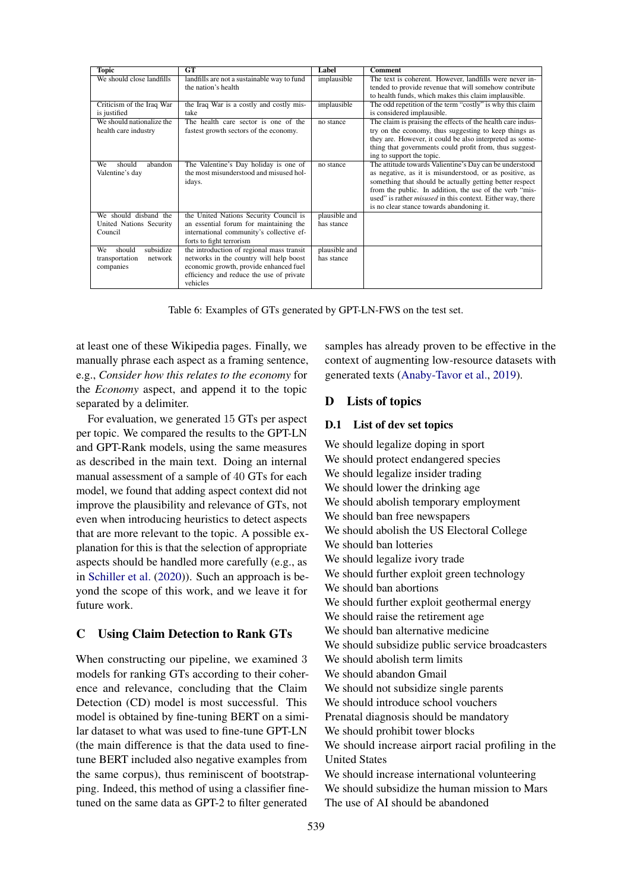<span id="page-11-0"></span>

| <b>Topic</b>              | GT                                                                    | Label         | <b>Comment</b>                                                                                                 |
|---------------------------|-----------------------------------------------------------------------|---------------|----------------------------------------------------------------------------------------------------------------|
| We should close landfills | landfills are not a sustainable way to fund                           | implausible   | The text is coherent. However, landfills were never in-                                                        |
|                           | the nation's health                                                   |               | tended to provide revenue that will somehow contribute<br>to health funds, which makes this claim implausible. |
| Criticism of the Iraq War | the Iraq War is a costly and costly mis-                              | implausible   | The odd repetition of the term "costly" is why this claim                                                      |
| is justified              | take                                                                  |               | is considered implausible.                                                                                     |
| We should nationalize the | The health care sector is one of the                                  | no stance     | The claim is praising the effects of the health care indus-                                                    |
| health care industry      | fastest growth sectors of the economy.                                |               | try on the economy, thus suggesting to keep things as                                                          |
|                           |                                                                       |               | they are. However, it could be also interpreted as some-                                                       |
|                           |                                                                       |               | thing that governments could profit from, thus suggest-<br>ing to support the topic.                           |
| abandon<br>We<br>should   | The Valentine's Day holiday is one of                                 | no stance     | The attitude towards Valientine's Day can be understood                                                        |
| Valentine's day           | the most misunderstood and misused hol-                               |               | as negative, as it is misunderstood, or as positive, as                                                        |
|                           | idays.                                                                |               | something that should be actually getting better respect                                                       |
|                           |                                                                       |               | from the public. In addition, the use of the verb "mis-                                                        |
|                           |                                                                       |               | used" is rather <i>misused</i> in this context. Either way, there                                              |
|                           |                                                                       |               | is no clear stance towards abandoning it.                                                                      |
| We should disband the     | the United Nations Security Council is                                | plausible and |                                                                                                                |
| United Nations Security   | an essential forum for maintaining the                                | has stance    |                                                                                                                |
| Council                   | international community's collective ef-                              |               |                                                                                                                |
| subsidize<br>should<br>We | forts to fight terrorism<br>the introduction of regional mass transit | plausible and |                                                                                                                |
| transportation<br>network | networks in the country will help boost                               | has stance    |                                                                                                                |
| companies                 | economic growth, provide enhanced fuel                                |               |                                                                                                                |
|                           | efficiency and reduce the use of private                              |               |                                                                                                                |
|                           | vehicles                                                              |               |                                                                                                                |

Table 6: Examples of GTs generated by GPT-LN-FWS on the test set.

at least one of these Wikipedia pages. Finally, we manually phrase each aspect as a framing sentence, e.g., *Consider how this relates to the economy* for the *Economy* aspect, and append it to the topic separated by a delimiter.

For evaluation, we generated 15 GTs per aspect per topic. We compared the results to the GPT-LN and GPT-Rank models, using the same measures as described in the main text. Doing an internal manual assessment of a sample of 40 GTs for each model, we found that adding aspect context did not improve the plausibility and relevance of GTs, not even when introducing heuristics to detect aspects that are more relevant to the topic. A possible explanation for this is that the selection of appropriate aspects should be handled more carefully (e.g., as in [Schiller et al.](#page-10-6) [\(2020\)](#page-10-6)). Such an approach is beyond the scope of this work, and we leave it for future work.

### C Using Claim Detection to Rank GTs

When constructing our pipeline, we examined 3 models for ranking GTs according to their coherence and relevance, concluding that the Claim Detection (CD) model is most successful. This model is obtained by fine-tuning BERT on a similar dataset to what was used to fine-tune GPT-LN (the main difference is that the data used to finetune BERT included also negative examples from the same corpus), thus reminiscent of bootstrapping. Indeed, this method of using a classifier finetuned on the same data as GPT-2 to filter generated

samples has already proven to be effective in the context of augmenting low-resource datasets with generated texts [\(Anaby-Tavor et al.,](#page-9-18) [2019\)](#page-9-18).

# D Lists of topics

#### D.1 List of dev set topics

We should legalize doping in sport We should protect endangered species We should legalize insider trading We should lower the drinking age We should abolish temporary employment We should ban free newspapers We should abolish the US Electoral College We should ban lotteries We should legalize ivory trade We should further exploit green technology We should ban abortions We should further exploit geothermal energy We should raise the retirement age We should ban alternative medicine We should subsidize public service broadcasters We should abolish term limits We should abandon Gmail We should not subsidize single parents We should introduce school vouchers Prenatal diagnosis should be mandatory We should prohibit tower blocks We should increase airport racial profiling in the United States We should increase international volunteering We should subsidize the human mission to Mars The use of AI should be abandoned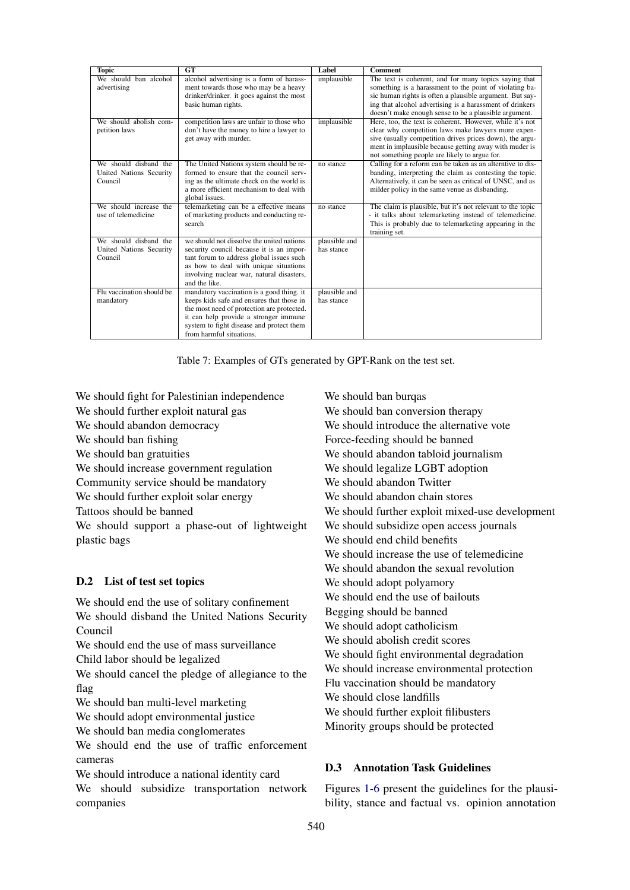<span id="page-12-0"></span>

| <b>Topic</b>              | GT                                                                                      | Label                       | <b>Comment</b>                                                                                                     |
|---------------------------|-----------------------------------------------------------------------------------------|-----------------------------|--------------------------------------------------------------------------------------------------------------------|
| We should ban alcohol     | alcohol advertising is a form of harass-                                                | implausible                 | The text is coherent, and for many topics saying that                                                              |
| advertising               | ment towards those who may be a heavy                                                   |                             | something is a harassment to the point of violating ba-                                                            |
|                           | drinker/drinker. it goes against the most                                               |                             | sic human rights is often a plausible argument. But say-                                                           |
|                           | basic human rights.                                                                     |                             | ing that alcohol advertising is a harassment of drinkers                                                           |
|                           |                                                                                         |                             | doesn't make enough sense to be a plausible argument.                                                              |
| We should abolish com-    | competition laws are unfair to those who                                                | implausible                 | Here, too, the text is coherent. However, while it's not                                                           |
| petition laws             | don't have the money to hire a lawyer to                                                |                             | clear why competition laws make lawyers more expen-                                                                |
|                           | get away with murder.                                                                   |                             | sive (usually competition drives prices down), the argu-<br>ment in implausible because getting away with muder is |
|                           |                                                                                         |                             | not something people are likely to argue for.                                                                      |
| We should disband the     | The United Nations system should be re-                                                 | no stance                   | Calling for a reform can be taken as an alterntive to dis-                                                         |
| United Nations Security   | formed to ensure that the council serv-                                                 |                             | banding, interpreting the claim as contesting the topic.                                                           |
| Council                   | ing as the ultimate check on the world is                                               |                             | Alternatively, it can be seen as critical of UNSC, and as                                                          |
|                           | a more efficient mechanism to deal with                                                 |                             | milder policy in the same venue as disbanding.                                                                     |
|                           | global issues.                                                                          |                             |                                                                                                                    |
| We should increase the    | telemarketing can be a effective means                                                  | no stance                   | The claim is plausible, but it's not relevant to the topic                                                         |
| use of telemedicine       | of marketing products and conducting re-                                                |                             | - it talks about telemarketing instead of telemedicine.                                                            |
|                           | search                                                                                  |                             | This is probably due to telemarketing appearing in the                                                             |
|                           |                                                                                         |                             | training set.                                                                                                      |
| We should disband the     | we should not dissolve the united nations                                               | plausible and               |                                                                                                                    |
| United Nations Security   | security council because it is an impor-                                                | has stance                  |                                                                                                                    |
| Council                   | tant forum to address global issues such                                                |                             |                                                                                                                    |
|                           | as how to deal with unique situations                                                   |                             |                                                                                                                    |
|                           | involving nuclear war, natural disasters,                                               |                             |                                                                                                                    |
|                           | and the like.                                                                           |                             |                                                                                                                    |
| Flu vaccination should be | mandatory vaccination is a good thing. it                                               | plausible and<br>has stance |                                                                                                                    |
| mandatory                 | keeps kids safe and ensures that those in<br>the most need of protection are protected. |                             |                                                                                                                    |
|                           | it can help provide a stronger immune                                                   |                             |                                                                                                                    |
|                           | system to fight disease and protect them                                                |                             |                                                                                                                    |
|                           | from harmful situations.                                                                |                             |                                                                                                                    |
|                           |                                                                                         |                             |                                                                                                                    |

Table 7: Examples of GTs generated by GPT-Rank on the test set.

We should fight for Palestinian independence We should further exploit natural gas We should abandon democracy We should ban fishing We should ban gratuities We should increase government regulation Community service should be mandatory We should further exploit solar energy Tattoos should be banned We should support a phase-out of lightweight plastic bags

# D.2 List of test set topics

We should end the use of solitary confinement We should disband the United Nations Security Council We should end the use of mass surveillance Child labor should be legalized We should cancel the pledge of allegiance to the flag We should ban multi-level marketing We should adopt environmental justice We should ban media conglomerates We should end the use of traffic enforcement cameras

We should introduce a national identity card We should subsidize transportation network companies

We should ban burqas We should ban conversion therapy We should introduce the alternative vote Force-feeding should be banned We should abandon tabloid journalism We should legalize LGBT adoption We should abandon Twitter We should abandon chain stores We should further exploit mixed-use development We should subsidize open access journals We should end child benefits We should increase the use of telemedicine We should abandon the sexual revolution We should adopt polyamory We should end the use of bailouts Begging should be banned We should adopt catholicism We should abolish credit scores We should fight environmental degradation We should increase environmental protection Flu vaccination should be mandatory We should close landfills We should further exploit filibusters Minority groups should be protected

# D.3 Annotation Task Guidelines

Figures [1-](#page-14-0)[6](#page-16-0) present the guidelines for the plausibility, stance and factual vs. opinion annotation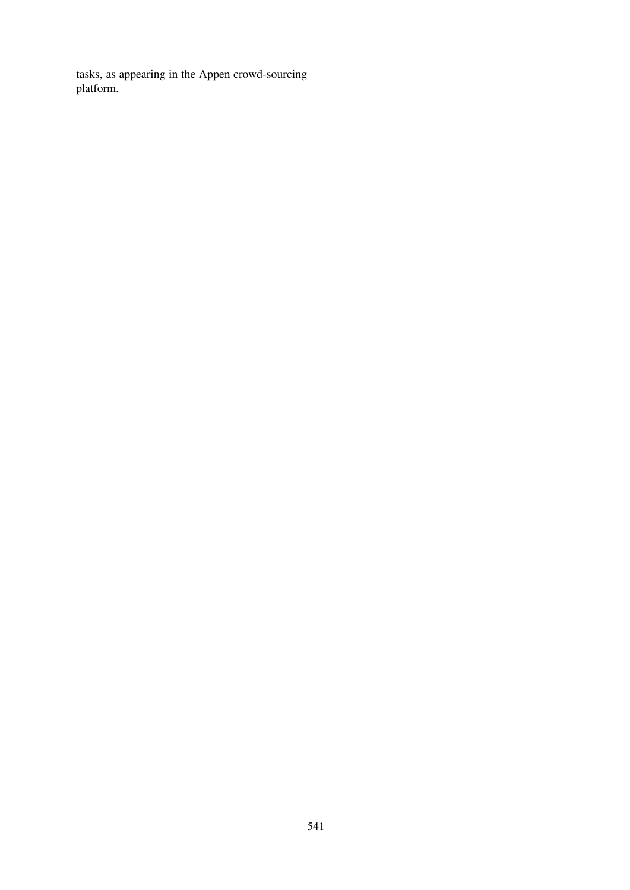tasks, as appearing in the Appen crowd-sourcing platform.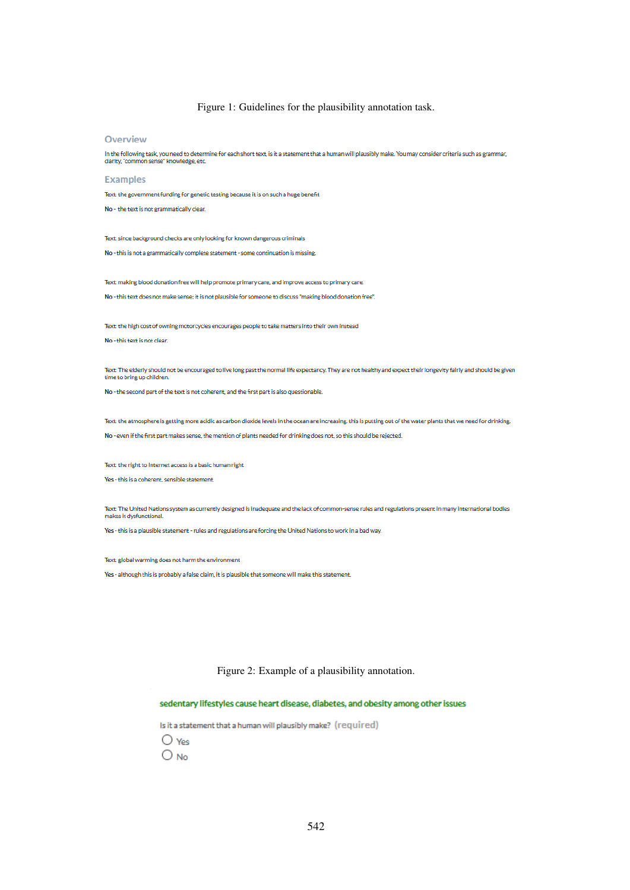#### Figure 1: Guidelines for the plausibility annotation task.

#### <span id="page-14-0"></span>Overview

In the following task, you need to determine for each short text, is it a statement that a human will plausibly make. You may consider criteria such as grammar,<br>clarity, "common sense" knowledge, etc.

#### **Examples**

Toyt: the envernment funding for conotic testing herause it is on such a hugo henofit

No - the text is not grammatically clear.

Text: since background checks are only looking for known dangerous criminals

No - this is not a grammatically complete statement - some continuation is missing.

Text: making blood donation free will help promote primary care, and improve access to primary care. No - this text does not make sense; it is not plausible for someone to discuss "making blood donation free".

Text: the high cost of owning motorcycles encourages people to take matters into their own instead

No - this text is not clear

Text: The elderly should not be encouraged to live long past the normal life expectancy. They are not healthy and expect their longevity fairly and should be given time to bring up children.

No - the second part of the text is not coherent, and the first part is also questionable

Text: the atmosphere is getting more acidic as carbon dioxide levels in the ocean are increasing, this is putting out of the water plants that we need for drinking.

No - even if the first part makes sense, the mention of plants needed for drinking does not, so this should be rejected.

Text: the right to Internet access is a basic human right

Yes - this is a coherent, sensible statement.

Text: The United Nations system as currently designed is inadequate and the lack of common-sense rules and regulations present in many international bodies makes it dysfunctional

Yes - this is a plausible statement - rules and regulations are forcing the United Nations to work in a bad way.

Text: global warming does not harm the environment

Yes - although this is probably a false claim, it is plausible that someone will make this statement.

#### Figure 2: Example of a plausibility annotation.

#### sedentary lifestyles cause heart disease, diabetes, and obesity among other issues

Is it a statement that a human will plausibly make? (required)

 $\bigcirc$  Yes

 $O$ <sub>No</sub>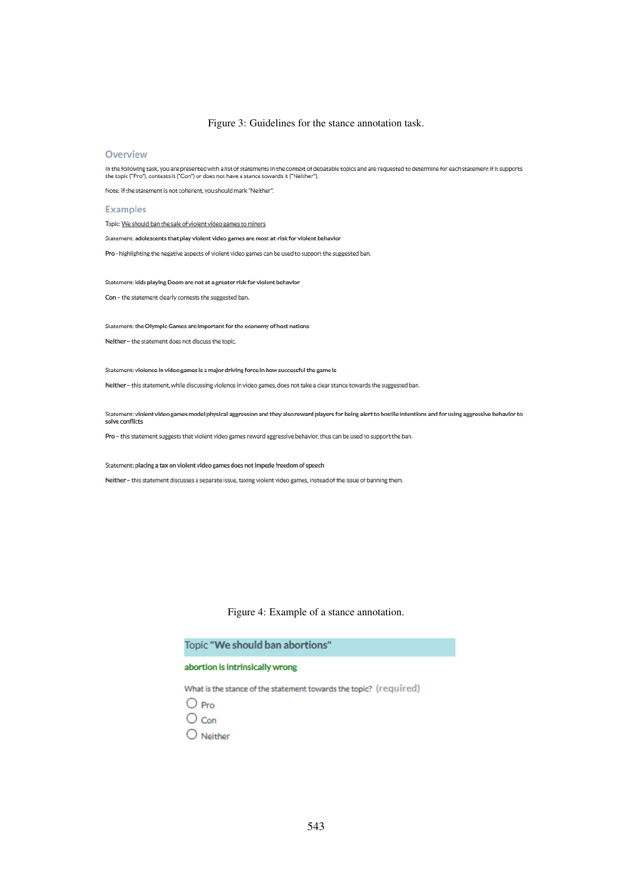Figure 3: Guidelines for the stance annotation task.

#### Overview

In the following task, you are presented with a list of statements in the context of debatable topics and are requested to determine for each statement if it supports<br>the topic ("Pro"), contests it ("Con") or does not have

Note: If the statement is not coherent, you should mark "Neither".

#### **Examples**

Topic: We should ban the sale of violent video games to minors

Statement: adolescents that play violent video games are most at-risk for violent behavior

Pro - highlighting the negative aspects of violent video games can be used to support the suggested ban.

Statement: kids playing Doom are not at a greater risk for violent behavior

Con - the statement clearly contests the suggested ban.

Statement: the Olympic Games are important for the economy of host nations

Neither - the statement does not discuss the topic.

Statement: violence in video games is a major driving force in how successful the game is

Neither - this statement, while discussing violence in video games, does not take a clear stance towards the suggested ban.

Statement: violent video games model physical aggression and they also reward players for being alert to hostile intentions and for using aggressive behavior to solve conflicts

Pro - this statement suggests that violent video games reward aggressive behavior, thus can be used to support the ban.

Statement: placing a tax on violent video games does not impede freedom of speech

Neither - this statement discusses a separate issue, taxing violent video games, instead of the issue of banning them.

#### Figure 4: Example of a stance annotation.

Topic "We should ban abortions"

#### abortion is intrinsically wrong

What is the stance of the statement towards the topic? (required)

- $\bigcirc$  Pro
- $\bigcirc$  Con
- $\bigcirc$  Neither